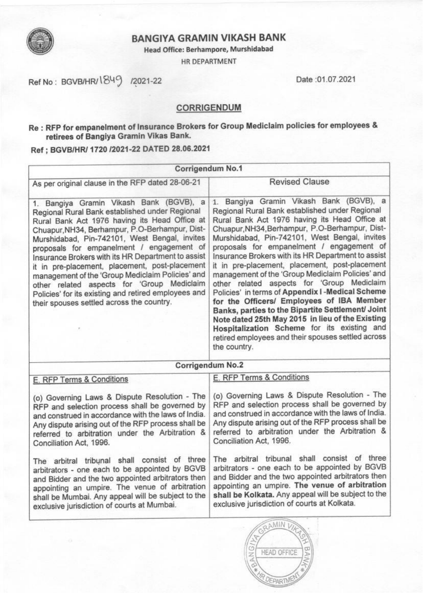

# **BANGIYA GRAMIN VIKASH BANK**

Head Office: Berhampore, Murshidabad

HR DEPARTMENT

Ref No: BGVB/HR/1849 /2021-22

Date: 01.07.2021

# **CORRIGENDUM**

# Re: RFP for empanelment of Insurance Brokers for Group Mediclaim policies for employees & retirees of Bangiya Gramin Vikas Bank.

Ref ; BGVB/HR/ 1720 /2021-22 DATED 28.06.2021

| Corrigendum No.1                                                                                                                                                                                                                                                                                                                                                                                                                                                                                                                                                                                          |                                                                                                                                                                                                                                                                                                                                                                                                                                                                                                                                                                                                                                                                                                                                                                                                                                      |  |  |  |
|-----------------------------------------------------------------------------------------------------------------------------------------------------------------------------------------------------------------------------------------------------------------------------------------------------------------------------------------------------------------------------------------------------------------------------------------------------------------------------------------------------------------------------------------------------------------------------------------------------------|--------------------------------------------------------------------------------------------------------------------------------------------------------------------------------------------------------------------------------------------------------------------------------------------------------------------------------------------------------------------------------------------------------------------------------------------------------------------------------------------------------------------------------------------------------------------------------------------------------------------------------------------------------------------------------------------------------------------------------------------------------------------------------------------------------------------------------------|--|--|--|
| As per original clause in the RFP dated 28-06-21                                                                                                                                                                                                                                                                                                                                                                                                                                                                                                                                                          | <b>Revised Clause</b>                                                                                                                                                                                                                                                                                                                                                                                                                                                                                                                                                                                                                                                                                                                                                                                                                |  |  |  |
| 1. Bangiya Gramin Vikash Bank (BGVB), a<br>Regional Rural Bank established under Regional<br>Rural Bank Act 1976 having its Head Office at<br>Chuapur, NH34, Berhampur, P.O-Berhampur, Dist-<br>Murshidabad, Pin-742101, West Bengal, invites<br>proposals for empanelment / engagement of<br>Insurance Brokers with its HR Department to assist<br>it in pre-placement, placement, post-placement<br>management of the 'Group Mediclaim Policies' and<br>other related aspects for 'Group Mediclaim<br>Policies' for its existing and retired employees and<br>their spouses settled across the country. | 1. Bangiya Gramin Vikash Bank (BGVB), a<br>Regional Rural Bank established under Regional<br>Rural Bank Act 1976 having its Head Office at<br>Chuapur, NH34, Berhampur, P.O-Berhampur, Dist-<br>Murshidabad, Pin-742101, West Bengal, invites<br>proposals for empanelment / engagement of<br>Insurance Brokers with its HR Department to assist<br>it in pre-placement, placement, post-placement<br>management of the 'Group Mediclaim Policies' and<br>other related aspects for 'Group Mediclaim<br>Policies' in terms of Appendix I - Medical Scheme<br>for the Officers/ Employees of IBA Member<br>Banks, parties to the Bipartite Settlement/ Joint<br>Note dated 25th May 2015 in lieu of the Existing<br>Hospitalization Scheme for its existing and<br>retired employees and their spouses settled across<br>the country. |  |  |  |
| Corrigendum No.2                                                                                                                                                                                                                                                                                                                                                                                                                                                                                                                                                                                          |                                                                                                                                                                                                                                                                                                                                                                                                                                                                                                                                                                                                                                                                                                                                                                                                                                      |  |  |  |
| E. RFP Terms & Conditions                                                                                                                                                                                                                                                                                                                                                                                                                                                                                                                                                                                 | E. RFP Terms & Conditions                                                                                                                                                                                                                                                                                                                                                                                                                                                                                                                                                                                                                                                                                                                                                                                                            |  |  |  |
| (o) Governing Laws & Dispute Resolution - The<br>RFP and selection process shall be governed by<br>and construed in accordance with the laws of India.<br>Any dispute arising out of the RFP process shall be<br>referred to arbitration under the Arbitration &<br>Conciliation Act, 1996.                                                                                                                                                                                                                                                                                                               | (o) Governing Laws & Dispute Resolution - The<br>RFP and selection process shall be governed by<br>and construed in accordance with the laws of India.<br>Any dispute arising out of the RFP process shall be<br>referred to arbitration under the Arbitration &<br>Conciliation Act, 1996.                                                                                                                                                                                                                                                                                                                                                                                                                                                                                                                                          |  |  |  |
| The arbitral tribunal shall consist of three<br>arbitrators - one each to be appointed by BGVB<br>and Bidder and the two appointed arbitrators then<br>appointing an umpire. The venue of arbitration<br>shall be Mumbai. Any appeal will be subject to the<br>exclusive jurisdiction of courts at Mumbai.                                                                                                                                                                                                                                                                                                | The arbitral tribunal shall consist of three<br>arbitrators - one each to be appointed by BGVB<br>and Bidder and the two appointed arbitrators then<br>appointing an umpire. The venue of arbitration<br>shall be Kolkata. Any appeal will be subject to the<br>exclusive jurisdiction of courts at Kolkata.                                                                                                                                                                                                                                                                                                                                                                                                                                                                                                                         |  |  |  |
|                                                                                                                                                                                                                                                                                                                                                                                                                                                                                                                                                                                                           | <b>SAMIN VI</b>                                                                                                                                                                                                                                                                                                                                                                                                                                                                                                                                                                                                                                                                                                                                                                                                                      |  |  |  |

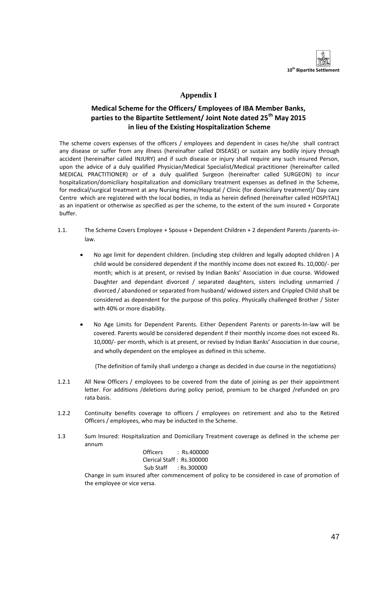

## **Appendix I**

## **Medical Scheme for the Officers/ Employees of IBA Member Banks, parties to the Bipartite Settlement/ Joint Note dated 25th May 2015 in lieu of the Existing Hospitalization Scheme**

The scheme covers expenses of the officers / employees and dependent in cases he/she shall contract any disease or suffer from any illness (hereinafter called DISEASE) or sustain any bodily injury through accident (hereinafter called INJURY) and if such disease or injury shall require any such insured Person, upon the advice of a duly qualified Physician/Medical Specialist/Medical practitioner (hereinafter called MEDICAL PRACTITIONER) or of a duly qualified Surgeon (hereinafter called SURGEON) to incur hospitalization/domiciliary hospitalization and domiciliary treatment expenses as defined in the Scheme, for medical/surgical treatment at any Nursing Home/Hospital / Clinic (for domiciliary treatment)/ Day care Centre which are registered with the local bodies, in India as herein defined (hereinafter called HOSPITAL) as an inpatient or otherwise as specified as per the scheme, to the extent of the sum insured + Corporate buffer.

- 1.1. The Scheme Covers Employee + Spouse + Dependent Children + 2 dependent Parents /parents-inlaw.
	- No age limit for dependent children. (including step children and legally adopted children ) A child would be considered dependent if the monthly income does not exceed Rs. 10,000/- per month; which is at present, or revised by Indian Banks' Association in due course. Widowed Daughter and dependant divorced / separated daughters, sisters including unmarried / divorced / abandoned or separated from husband/ widowed sisters and Crippled Child shall be considered as dependent for the purpose of this policy. Physically challenged Brother / Sister with 40% or more disability.
	- No Age Limits for Dependent Parents. Either Dependent Parents or parents-In-law will be covered. Parents would be considered dependent if their monthly income does not exceed Rs. 10,000/- per month, which is at present, or revised by Indian Banks' Association in due course, and wholly dependent on the employee as defined in this scheme.

(The definition of family shall undergo a change as decided in due course in the negotiations)

- 1.2.1 All New Officers / employees to be covered from the date of joining as per their appointment letter. For additions /deletions during policy period, premium to be charged /refunded on pro rata basis.
- 1.2.2 Continuity benefits coverage to officers / employees on retirement and also to the Retired Officers / employees, who may be inducted in the Scheme.
- 1.3 Sum Insured: Hospitalization and Domiciliary Treatment coverage as defined in the scheme per annum

| <b>Officers</b> | :Rs.400000                |
|-----------------|---------------------------|
|                 | Clerical Staff: Rs.300000 |
|                 | Sub Staff : Rs.300000     |

 Change in sum insured after commencement of policy to be considered in case of promotion of the employee or vice versa.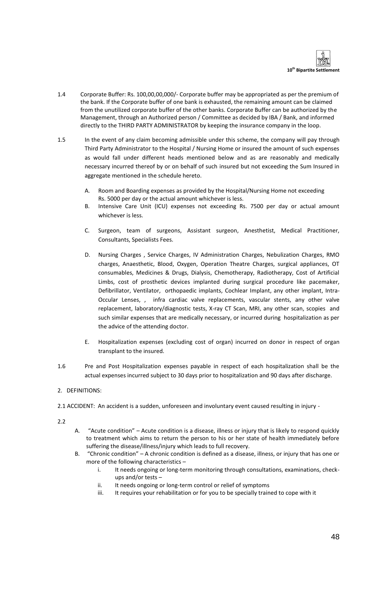

- 1.4 Corporate Buffer: Rs. 100,00,00,000/- Corporate buffer may be appropriated as per the premium of the bank. If the Corporate buffer of one bank is exhausted, the remaining amount can be claimed from the unutilized corporate buffer of the other banks. Corporate Buffer can be authorized by the Management, through an Authorized person / Committee as decided by IBA / Bank, and informed directly to the THIRD PARTY ADMINISTRATOR by keeping the insurance company in the loop.
- 1.5 In the event of any claim becoming admissible under this scheme, the company will pay through Third Party Administrator to the Hospital / Nursing Home or insured the amount of such expenses as would fall under different heads mentioned below and as are reasonably and medically necessary incurred thereof by or on behalf of such insured but not exceeding the Sum Insured in aggregate mentioned in the schedule hereto.
	- A. Room and Boarding expenses as provided by the Hospital/Nursing Home not exceeding Rs. 5000 per day or the actual amount whichever is less.
	- B. Intensive Care Unit (ICU) expenses not exceeding Rs. 7500 per day or actual amount whichever is less.
	- C. Surgeon, team of surgeons, Assistant surgeon, Anesthetist, Medical Practitioner, Consultants, Specialists Fees.
	- D. Nursing Charges , Service Charges, IV Administration Charges, Nebulization Charges, RMO charges, Anaesthetic, Blood, Oxygen, Operation Theatre Charges, surgical appliances, OT consumables, Medicines & Drugs, Dialysis, Chemotherapy, Radiotherapy, Cost of Artificial Limbs, cost of prosthetic devices implanted during surgical procedure like pacemaker, Defibrillator, Ventilator, orthopaedic implants, Cochlear Implant, any other implant, Intra-Occular Lenses, , infra cardiac valve replacements, vascular stents, any other valve replacement, laboratory/diagnostic tests, X-ray CT Scan, MRI, any other scan, scopies and such similar expenses that are medically necessary, or incurred during hospitalization as per the advice of the attending doctor.
	- E. Hospitalization expenses (excluding cost of organ) incurred on donor in respect of organ transplant to the insured.
- 1.6 Pre and Post Hospitalization expenses payable in respect of each hospitalization shall be the actual expenses incurred subject to 30 days prior to hospitalization and 90 days after discharge.

## 2. DEFINITIONS:

2.1 ACCIDENT: An accident is a sudden, unforeseen and involuntary event caused resulting in injury -

 $2.2$ 

- A. "Acute condition" Acute condition is a disease, illness or injury that is likely to respond quickly to treatment which aims to return the person to his or her state of health immediately before suffering the disease/illness/injury which leads to full recovery.
- B. "Chronic condition" A chronic condition is defined as a disease, illness, or injury that has one or more of the following characteristics –
	- i. It needs ongoing or long-term monitoring through consultations, examinations, checkups and/or tests –
	- ii. It needs ongoing or long-term control or relief of symptoms
	- iii. It requires your rehabilitation or for you to be specially trained to cope with it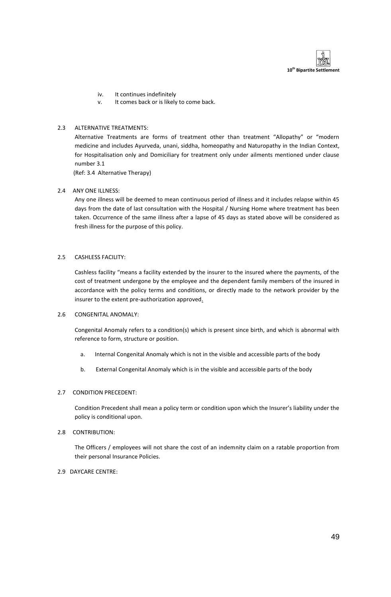

- iv. It continues indefinitely
- v. It comes back or is likely to come back.

## 2.3 ALTERNATIVE TREATMENTS:

Alternative Treatments are forms of treatment other than treatment "Allopathy" or "modern medicine and includes Ayurveda, unani, siddha, homeopathy and Naturopathy in the Indian Context, for Hospitalisation only and Domiciliary for treatment only under ailments mentioned under clause number 3.1

(Ref: 3.4 Alternative Therapy)

## 2.4 ANY ONE ILLNESS:

Any one illness will be deemed to mean continuous period of illness and it includes relapse within 45 days from the date of last consultation with the Hospital / Nursing Home where treatment has been taken. Occurrence of the same illness after a lapse of 45 days as stated above will be considered as fresh illness for the purpose of this policy.

## 2.5 CASHLESS FACILITY:

Cashless facility "means a facility extended by the insurer to the insured where the payments, of the cost of treatment undergone by the employee and the dependent family members of the insured in accordance with the policy terms and conditions, or directly made to the network provider by the insurer to the extent pre-authorization approved.

## 2.6 CONGENITAL ANOMALY:

Congenital Anomaly refers to a condition(s) which is present since birth, and which is abnormal with reference to form, structure or position.

- a. Internal Congenital Anomaly which is not in the visible and accessible parts of the body
- b. External Congenital Anomaly which is in the visible and accessible parts of the body

## 2.7 CONDITION PRECEDENT:

Condition Precedent shall mean a policy term or condition upon which the Insurer's liability under the policy is conditional upon.

## 2.8 CONTRIBUTION:

The Officers / employees will not share the cost of an indemnity claim on a ratable proportion from their personal Insurance Policies.

## 2.9 DAYCARE CENTRE: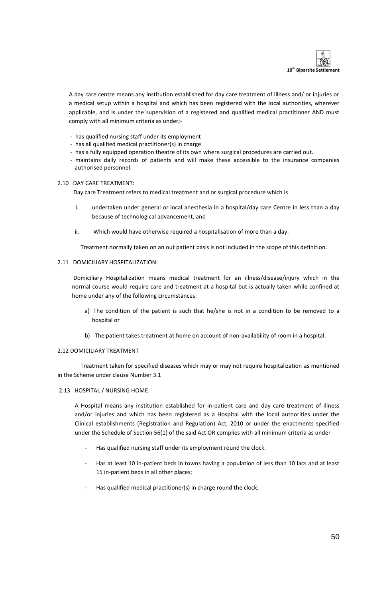

A day care centre means any institution established for day care treatment of illness and/ or injuries or a medical setup within a hospital and which has been registered with the local authorities, wherever applicable, and is under the supervision of a registered and qualified medical practitioner AND must comply with all minimum criteria as under;-

- has qualified nursing staff under its employment
- has all qualified medical practitioner(s) in charge
- has a fully equipped operation theatre of its own where surgical procedures are carried out.
- maintains daily records of patients and will make these accessible to the insurance companies authorised personnel.

#### 2.10 DAY CARE TREATMENT:

Day care Treatment refers to medical treatment and or surgical procedure which is

- i. undertaken under general or local anesthesia in a hospital/day care Centre in less than a day because of technological advancement, and
- ii. Which would have otherwise required a hospitalisation of more than a day.

Treatment normally taken on an out patient basis is not included in the scope of this definition.

### 2.11 DOMICILIARY HOSPITALIZATION:

Domiciliary Hospitalization means medical treatment for an illness/disease/injury which in the normal course would require care and treatment at a hospital but is actually taken while confined at home under any of the following circumstances:

- a) The condition of the patient is such that he/she is not in a condition to be removed to a hospital or
- b) The patient takes treatment at home on account of non-availability of room in a hospital.

## 2.12 DOMICILIARY TREATMENT

Treatment taken for specified diseases which may or may not require hospitalization as mentioned in the Scheme under clause Number 3.1

## 2.13 HOSPITAL / NURSING HOME:

A Hospital means any institution established for in-patient care and day care treatment of illness and/or injuries and which has been registered as a Hospital with the local authorities under the Clinical establishments (Registration and Regulation) Act, 2010 or under the enactments specified under the Schedule of Section 56(1) of the said Act OR complies with all minimum criteria as under

- Has qualified nursing staff under its employment round the clock.
- Has at least 10 in-patient beds in towns having a population of less than 10 lacs and at least 15 in-patient beds in all other places;
- Has qualified medical practitioner(s) in charge round the clock;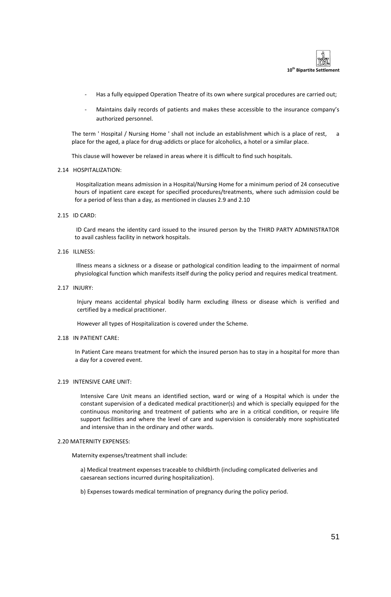

- Has a fully equipped Operation Theatre of its own where surgical procedures are carried out;
- Maintains daily records of patients and makes these accessible to the insurance company's authorized personnel.

The term ' Hospital / Nursing Home ' shall not include an establishment which is a place of rest, a place for the aged, a place for drug-addicts or place for alcoholics, a hotel or a similar place.

This clause will however be relaxed in areas where it is difficult to find such hospitals.

#### 2.14 HOSPITALIZATION:

Hospitalization means admission in a Hospital/Nursing Home for a minimum period of 24 consecutive hours of inpatient care except for specified procedures/treatments, where such admission could be for a period of less than a day, as mentioned in clauses 2.9 and 2.10

2.15 ID CARD:

ID Card means the identity card issued to the insured person by the THIRD PARTY ADMINISTRATOR to avail cashless facility in network hospitals.

## 2.16 ILLNESS:

Illness means a sickness or a disease or pathological condition leading to the impairment of normal physiological function which manifests itself during the policy period and requires medical treatment.

## 2.17 INJURY:

Injury means accidental physical bodily harm excluding illness or disease which is verified and certified by a medical practitioner.

However all types of Hospitalization is covered under the Scheme.

#### 2.18 IN PATIENT CARE:

In Patient Care means treatment for which the insured person has to stay in a hospital for more than a day for a covered event.

#### 2.19 INTENSIVE CARE UNIT:

Intensive Care Unit means an identified section, ward or wing of a Hospital which is under the constant supervision of a dedicated medical practitioner(s) and which is specially equipped for the continuous monitoring and treatment of patients who are in a critical condition, or require life support facilities and where the level of care and supervision is considerably more sophisticated and intensive than in the ordinary and other wards.

#### 2.20 MATERNITY EXPENSES:

Maternity expenses/treatment shall include:

a) Medical treatment expenses traceable to childbirth (including complicated deliveries and caesarean sections incurred during hospitalization).

b) Expenses towards medical termination of pregnancy during the policy period.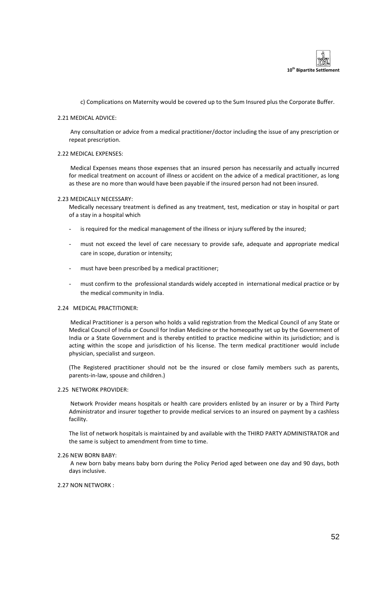

c) Complications on Maternity would be covered up to the Sum Insured plus the Corporate Buffer.

#### 2.21 MEDICAL ADVICE:

Any consultation or advice from a medical practitioner/doctor including the issue of any prescription or repeat prescription.

#### 2.22 MEDICAL EXPENSES:

Medical Expenses means those expenses that an insured person has necessarily and actually incurred for medical treatment on account of illness or accident on the advice of a medical practitioner, as long as these are no more than would have been payable if the insured person had not been insured.

#### 2.23 MEDICALLY NECESSARY:

Medically necessary treatment is defined as any treatment, test, medication or stay in hospital or part of a stay in a hospital which

- is required for the medical management of the illness or injury suffered by the insured;
- must not exceed the level of care necessary to provide safe, adequate and appropriate medical care in scope, duration or intensity;
- must have been prescribed by a medical practitioner;
- must confirm to the professional standards widely accepted in international medical practice or by the medical community in India.

#### 2.24 MEDICAL PRACTITIONER:

Medical Practitioner is a person who holds a valid registration from the Medical Council of any State or Medical Council of India or Council for Indian Medicine or the homeopathy set up by the Government of India or a State Government and is thereby entitled to practice medicine within its jurisdiction; and is acting within the scope and jurisdiction of his license. The term medical practitioner would include physician, specialist and surgeon.

(The Registered practitioner should not be the insured or close family members such as parents, parents-in-law, spouse and children.)

#### 2.25 NETWORK PROVIDER:

Network Provider means hospitals or health care providers enlisted by an insurer or by a Third Party Administrator and insurer together to provide medical services to an insured on payment by a cashless facility.

The list of network hospitals is maintained by and available with the THIRD PARTY ADMINISTRATOR and the same is subject to amendment from time to time.

#### 2.26 NEW BORN BABY:

A new born baby means baby born during the Policy Period aged between one day and 90 days, both days inclusive.

#### 2.27 NON NETWORK :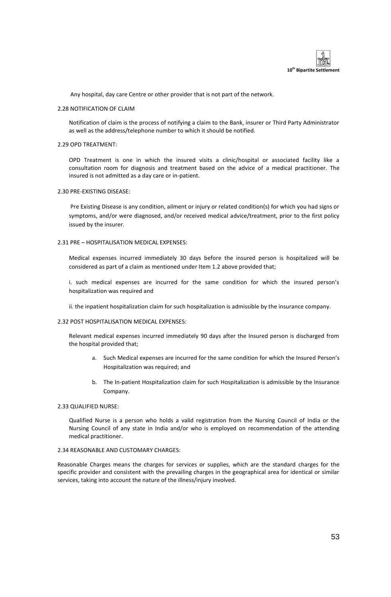

Any hospital, day care Centre or other provider that is not part of the network.

#### 2.28 NOTIFICATION OF CLAIM

Notification of claim is the process of notifying a claim to the Bank, insurer or Third Party Administrator as well as the address/telephone number to which it should be notified.

#### 2.29 OPD TREATMENT:

OPD Treatment is one in which the insured visits a clinic/hospital or associated facility like a consultation room for diagnosis and treatment based on the advice of a medical practitioner. The insured is not admitted as a day care or in-patient.

#### 2.30 PRE-EXISTING DISEASE:

Pre Existing Disease is any condition, ailment or injury or related condition(s) for which you had signs or symptoms, and/or were diagnosed, and/or received medical advice/treatment, prior to the first policy issued by the insurer.

#### 2.31 PRE – HOSPITALISATION MEDICAL EXPENSES:

Medical expenses incurred immediately 30 days before the insured person is hospitalized will be considered as part of a claim as mentioned under Item 1.2 above provided that;

i. such medical expenses are incurred for the same condition for which the insured person's hospitalization was required and

ii. the inpatient hospitalization claim for such hospitalization is admissible by the insurance company.

#### 2.32 POST HOSPITALISATION MEDICAL EXPENSES:

Relevant medical expenses incurred immediately 90 days after the Insured person is discharged from the hospital provided that;

- a. Such Medical expenses are incurred for the same condition for which the Insured Person's Hospitalization was required; and
- b. The In-patient Hospitalization claim for such Hospitalization is admissible by the Insurance Company.

#### 2.33 QUALIFIED NURSE:

Qualified Nurse is a person who holds a valid registration from the Nursing Council of India or the Nursing Council of any state in India and/or who is employed on recommendation of the attending medical practitioner.

## 2.34 REASONABLE AND CUSTOMARY CHARGES:

Reasonable Charges means the charges for services or supplies, which are the standard charges for the specific provider and consistent with the prevailing charges in the geographical area for identical or similar services, taking into account the nature of the illness/injury involved.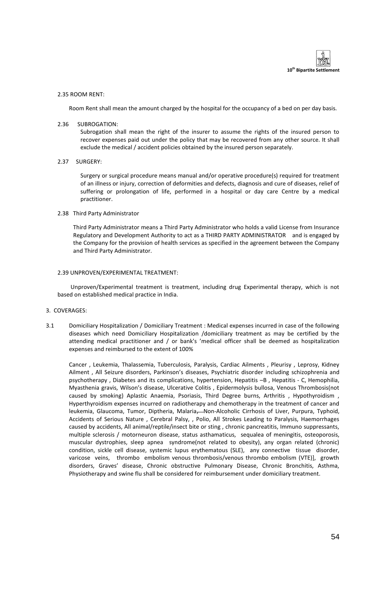

#### 2.35 ROOM RENT:

Room Rent shall mean the amount charged by the hospital for the occupancy of a bed on per day basis.

2.36 SUBROGATION:

Subrogation shall mean the right of the insurer to assume the rights of the insured person to recover expenses paid out under the policy that may be recovered from any other source. It shall exclude the medical / accident policies obtained by the insured person separately.

2.37 SURGERY:

Surgery or surgical procedure means manual and/or operative procedure(s) required for treatment of an illness or injury, correction of deformities and defects, diagnosis and cure of diseases, relief of suffering or prolongation of life, performed in a hospital or day care Centre by a medical practitioner.

#### 2.38 Third Party Administrator

Third Party Administrator means a Third Party Administrator who holds a valid License from Insurance Regulatory and Development Authority to act as a THIRD PARTY ADMINISTRATOR and is engaged by the Company for the provision of health services as specified in the agreement between the Company and Third Party Administrator.

#### 2.39 UNPROVEN/EXPERIMENTAL TREATMENT:

 Unproven/Experimental treatment is treatment, including drug Experimental therapy, which is not based on established medical practice in India.

#### 3. COVERAGES:

3.1 Domiciliary Hospitalization / Domiciliary Treatment : Medical expenses incurred in case of the following diseases which need Domiciliary Hospitalization /domiciliary treatment as may be certified by the attending medical practitioner and / or bank's 'medical officer shall be deemed as hospitalization expenses and reimbursed to the extent of 100%

Cancer , Leukemia, Thalassemia, Tuberculosis, Paralysis, Cardiac Ailments , Pleurisy , Leprosy, Kidney Ailment , All Seizure disorders, Parkinson's diseases, Psychiatric disorder including schizophrenia and psychotherapy , Diabetes and its complications, hypertension, Hepatitis –B , Hepatitis - C, Hemophilia, Myasthenia gravis, Wilson's disease, Ulcerative Colitis , Epidermolysis bullosa, Venous Thrombosis(not caused by smoking) Aplastic Anaemia, Psoriasis, Third Degree burns, Arthritis , Hypothyroidism , Hyperthyroidism expenses incurred on radiotherapy and chemotherapy in the treatment of cancer and leukemia, Glaucoma, Tumor, Diptheria, Malaria, Mon-Alcoholic Cirrhosis of Liver, Purpura, Typhoid, Accidents of Serious Nature , Cerebral Palsy, , Polio, All Strokes Leading to Paralysis, Haemorrhages caused by accidents, All animal/reptile/insect bite or sting , chronic pancreatitis, Immuno suppressants, multiple sclerosis / motorneuron disease, status asthamaticus, sequalea of meningitis, osteoporosis, muscular dystrophies, sleep apnea syndrome(not related to obesity), any organ related (chronic) condition, sickle cell disease, systemic lupus erythematous (SLE), any connective tissue disorder, varicose veins, thrombo embolism venous thrombosis/venous thrombo embolism (VTE)], growth disorders, Graves' disease, Chronic obstructive Pulmonary Disease, Chronic Bronchitis, Asthma, Physiotherapy and swine flu shall be considered for reimbursement under domiciliary treatment.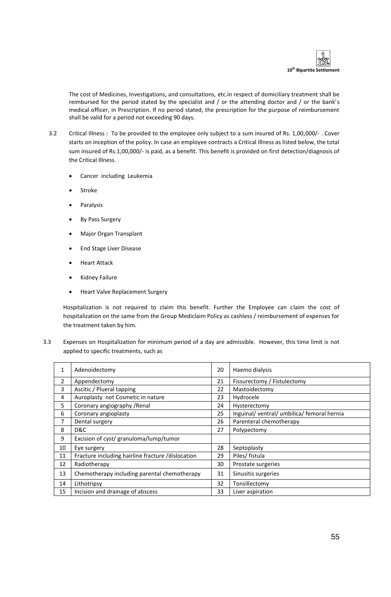

The cost of Medicines, Investigations, and consultations, etc.in respect of domiciliary treatment shall be reimbursed for the period stated by the specialist and / or the attending doctor and / or the bank's medical officer, in Prescription. If no period stated, the prescription for the purpose of reimbursement shall be valid for a period not exceeding 90 days.

- 3.2 Critical Illness : To be provided to the employee only subject to a sum insured of Rs. 1,00,000/- . Cover starts on inception of the policy. In case an employee contracts a Critical Illness as listed below, the total sum insured of Rs.1,00,000/- is paid, as a benefit. This benefit is provided on first detection/diagnosis of the Critical Illness.
	- Cancer including Leukemia
	- Stroke
	- Paralysis
	- By Pass Surgery
	- Major Organ Transplant
	- End Stage Liver Disease
	- Heart Attack
	- **•** Kidney Failure
	- Heart Valve Replacement Surgery

Hospitalization is not required to claim this benefit. Further the Employee can claim the cost of hospitalization on the same from the Group Mediclaim Policy as cashless / reimbursement of expenses for the treatment taken by him.

3.3 Expenses on Hospitalization for minimum period of a day are admissible. However, this time limit is not applied to specific treatments, such as

| $\mathbf{1}$ | Adenoidectomy                                     | 20 | Haemo dialysis                           |
|--------------|---------------------------------------------------|----|------------------------------------------|
| 2            | Appendectomy                                      | 21 | Fissurectomy / Fistulectomy              |
| 3            | Ascitic / Plueral tapping                         | 22 | Mastoidectomy                            |
| 4            | Auroplasty not Cosmetic in nature                 | 23 | Hydrocele                                |
| 5            | Coronary angiography / Renal                      | 24 | Hysterectomy                             |
| 6            | Coronary angioplasty                              | 25 | Inguinal/ventral/umbilica/femoral hernia |
|              | Dental surgery                                    | 26 | Parenteral chemotherapy                  |
| 8            | D&C                                               | 27 | Polypectomy                              |
| 9            | Excision of cyst/ granuloma/lump/tumor            |    |                                          |
| 10           | Eye surgery                                       | 28 | Septoplasty                              |
| 11           | Fracture including hairline fracture /dislocation | 29 | Piles/ fistula                           |
| 12           | Radiotherapy                                      | 30 | Prostate surgeries                       |
| 13           | Chemotherapy including parental chemotherapy      | 31 | Sinusitis surgeries                      |
| 14           | Lithotripsy                                       | 32 | Tonsillectomy                            |
| 15           | Incision and drainage of abscess                  | 33 | Liver aspiration                         |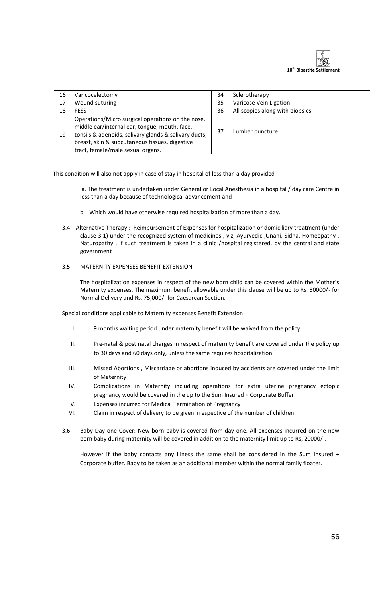

| 16 | Varicocelectomy                                                                                                                                                                                                                                    | 34 | Sclerotherapy                   |
|----|----------------------------------------------------------------------------------------------------------------------------------------------------------------------------------------------------------------------------------------------------|----|---------------------------------|
| 17 | Wound suturing                                                                                                                                                                                                                                     | 35 | Varicose Vein Ligation          |
| 18 | <b>FESS</b>                                                                                                                                                                                                                                        | 36 | All scopies along with biopsies |
| 19 | Operations/Micro surgical operations on the nose,<br>middle ear/internal ear, tongue, mouth, face,<br>tonsils & adenoids, salivary glands & salivary ducts,<br>breast, skin & subcutaneous tissues, digestive<br>tract, female/male sexual organs. | 37 | Lumbar puncture                 |

This condition will also not apply in case of stay in hospital of less than a day provided –

a. The treatment is undertaken under General or Local Anesthesia in a hospital / day care Centre in less than a day because of technological advancement and

- b. Which would have otherwise required hospitalization of more than a day.
- 3.4 Alternative Therapy : Reimbursement of Expenses for hospitalization or domiciliary treatment (under clause 3.1) under the recognized system of medicines , viz, Ayurvedic ,Unani, Sidha, Homeopathy , Naturopathy , if such treatment is taken in a clinic /hospital registered, by the central and state government .

## 3.5 MATERNITY EXPENSES BENEFIT EXTENSION

The hospitalization expenses in respect of the new born child can be covered within the Mother's Maternity expenses. The maximum benefit allowable under this clause will be up to Rs. 50000/- for Normal Delivery and Rs. 75,000/- for Caesarean Section.

Special conditions applicable to Maternity expenses Benefit Extension:

- I. 9 months waiting period under maternity benefit will be waived from the policy.
- II. Pre-natal & post natal charges in respect of maternity benefit are covered under the policy up to 30 days and 60 days only, unless the same requires hospitalization.
- III. Missed Abortions , Miscarriage or abortions induced by accidents are covered under the limit of Maternity
- IV. Complications in Maternity including operations for extra uterine pregnancy ectopic pregnancy would be covered in the up to the Sum Insured + Corporate Buffer
- V. Expenses incurred for Medical Termination of Pregnancy
- VI. Claim in respect of delivery to be given irrespective of the number of children
- 3.6 Baby Day one Cover: New born baby is covered from day one. All expenses incurred on the new born baby during maternity will be covered in addition to the maternity limit up to Rs, 20000/-.

However if the baby contacts any illness the same shall be considered in the Sum Insured + Corporate buffer. Baby to be taken as an additional member within the normal family floater.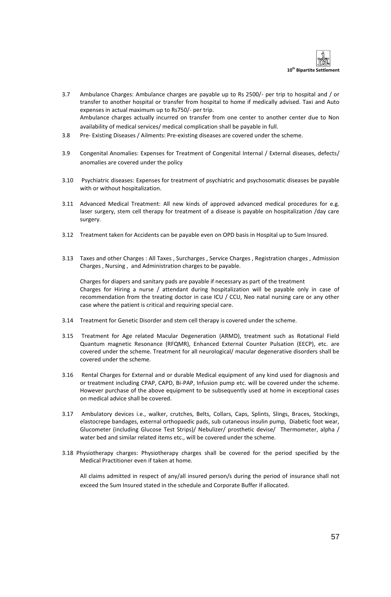

- 3.7 Ambulance Charges: Ambulance charges are payable up to Rs 2500/- per trip to hospital and / or transfer to another hospital or transfer from hospital to home if medically advised. Taxi and Auto expenses in actual maximum up to Rs750/- per trip. Ambulance charges actually incurred on transfer from one center to another center due to Non availability of medical services/ medical complication shall be payable in full.
- 3.8 Pre- Existing Diseases / Ailments: Pre-existing diseases are covered under the scheme.
- 3.9 Congenital Anomalies: Expenses for Treatment of Congenital Internal / External diseases, defects/ anomalies are covered under the policy
- 3.10 Psychiatric diseases: Expenses for treatment of psychiatric and psychosomatic diseases be payable with or without hospitalization.
- 3.11 Advanced Medical Treatment: All new kinds of approved advanced medical procedures for e.g. laser surgery, stem cell therapy for treatment of a disease is payable on hospitalization /day care surgery.
- 3.12 Treatment taken for Accidents can be payable even on OPD basis in Hospital up to Sum Insured.
- 3.13 Taxes and other Charges : All Taxes , Surcharges , Service Charges , Registration charges , Admission Charges , Nursing , and Administration charges to be payable.

Charges for diapers and sanitary pads are payable if necessary as part of the treatment Charges for Hiring a nurse / attendant during hospitalization will be payable only in case of recommendation from the treating doctor in case ICU / CCU, Neo natal nursing care or any other case where the patient is critical and requiring special care.

- 3.14 Treatment for Genetic Disorder and stem cell therapy is covered under the scheme.
- 3.15 Treatment for Age related Macular Degeneration (ARMD), treatment such as Rotational Field Quantum magnetic Resonance (RFQMR), Enhanced External Counter Pulsation (EECP), etc. are covered under the scheme. Treatment for all neurological/ macular degenerative disorders shall be covered under the scheme.
- 3.16 Rental Charges for External and or durable Medical equipment of any kind used for diagnosis and or treatment including CPAP, CAPD, Bi-PAP, Infusion pump etc. will be covered under the scheme. However purchase of the above equipment to be subsequently used at home in exceptional cases on medical advice shall be covered.
- 3.17 Ambulatory devices i.e., walker, crutches, Belts, Collars, Caps, Splints, Slings, Braces, Stockings, elastocrepe bandages, external orthopaedic pads, sub cutaneous insulin pump, Diabetic foot wear, Glucometer (including Glucose Test Strips)/ Nebulizer/ prosthetic devise/ Thermometer, alpha / water bed and similar related items etc., will be covered under the scheme.
- 3.18 Physiotherapy charges: Physiotherapy charges shall be covered for the period specified by the Medical Practitioner even if taken at home.

All claims admitted in respect of any/all insured person/s during the period of insurance shall not exceed the Sum Insured stated in the schedule and Corporate Buffer if allocated.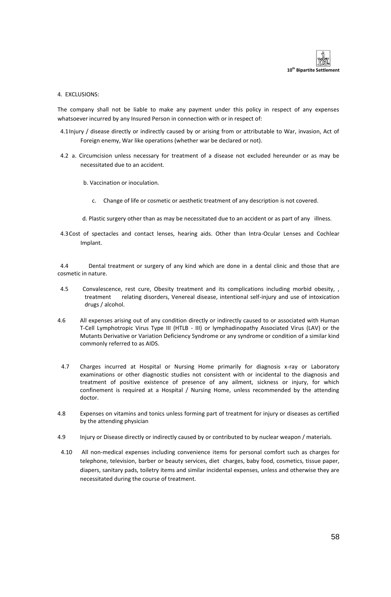

4. EXCLUSIONS:

The company shall not be liable to make any payment under this policy in respect of any expenses whatsoever incurred by any Insured Person in connection with or in respect of:

- 4.1Injury / disease directly or indirectly caused by or arising from or attributable to War, invasion, Act of Foreign enemy, War like operations (whether war be declared or not).
- 4.2 a. Circumcision unless necessary for treatment of a disease not excluded hereunder or as may be necessitated due to an accident.
	- b. Vaccination or inoculation.
		- c. Change of life or cosmetic or aesthetic treatment of any description is not covered.
	- d. Plastic surgery other than as may be necessitated due to an accident or as part of any illness.
- 4.3Cost of spectacles and contact lenses, hearing aids. Other than Intra-Ocular Lenses and Cochlear Implant.

 4.4 Dental treatment or surgery of any kind which are done in a dental clinic and those that are cosmetic in nature.

- 4.5 Convalescence, rest cure, Obesity treatment and its complications including morbid obesity, , treatment relating disorders, Venereal disease, intentional self-injury and use of intoxication drugs / alcohol.
- 4.6 All expenses arising out of any condition directly or indirectly caused to or associated with Human T-Cell Lymphotropic Virus Type III (HTLB - III) or lymphadinopathy Associated Virus (LAV) or the Mutants Derivative or Variation Deficiency Syndrome or any syndrome or condition of a similar kind commonly referred to as AIDS.
- 4.7 Charges incurred at Hospital or Nursing Home primarily for diagnosis x-ray or Laboratory examinations or other diagnostic studies not consistent with or incidental to the diagnosis and treatment of positive existence of presence of any ailment, sickness or injury, for which confinement is required at a Hospital / Nursing Home, unless recommended by the attending doctor.
- 4.8 Expenses on vitamins and tonics unless forming part of treatment for injury or diseases as certified by the attending physician
- 4.9 Injury or Disease directly or indirectly caused by or contributed to by nuclear weapon / materials.
- 4.10 All non-medical expenses including convenience items for personal comfort such as charges for telephone, television, barber or beauty services, diet charges, baby food, cosmetics, tissue paper, diapers, sanitary pads, toiletry items and similar incidental expenses, unless and otherwise they are necessitated during the course of treatment.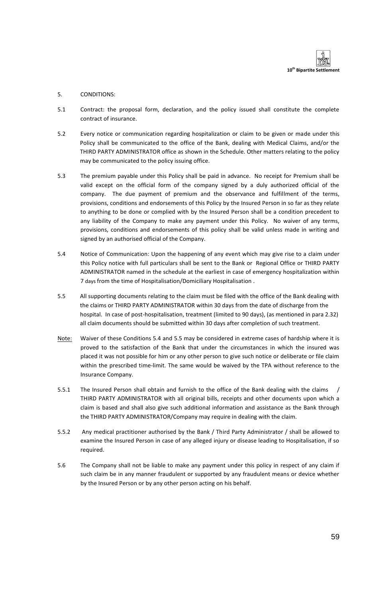

## 5. CONDITIONS:

- 5.1 Contract: the proposal form, declaration, and the policy issued shall constitute the complete contract of insurance.
- 5.2 Every notice or communication regarding hospitalization or claim to be given or made under this Policy shall be communicated to the office of the Bank, dealing with Medical Claims, and/or the THIRD PARTY ADMINISTRATOR office as shown in the Schedule. Other matters relating to the policy may be communicated to the policy issuing office.
- 5.3 The premium payable under this Policy shall be paid in advance. No receipt for Premium shall be valid except on the official form of the company signed by a duly authorized official of the company. The due payment of premium and the observance and fulfillment of the terms, provisions, conditions and endorsements of this Policy by the Insured Person in so far as they relate to anything to be done or complied with by the Insured Person shall be a condition precedent to any liability of the Company to make any payment under this Policy. No waiver of any terms, provisions, conditions and endorsements of this policy shall be valid unless made in writing and signed by an authorised official of the Company.
- 5.4 Notice of Communication: Upon the happening of any event which may give rise to a claim under this Policy notice with full particulars shall be sent to the Bank or Regional Office or THIRD PARTY ADMINISTRATOR named in the schedule at the earliest in case of emergency hospitalization within 7 days from the time of Hospitalisation/Domiciliary Hospitalisation .
- 5.5 All supporting documents relating to the claim must be filed with the office of the Bank dealing with the claims or THIRD PARTY ADMINISTRATOR within 30 days from the date of discharge from the hospital. In case of post-hospitalisation, treatment (limited to 90 days), (as mentioned in para 2.32) all claim documents should be submitted within 30 days after completion of such treatment.
- Note: Waiver of these Conditions 5.4 and 5.5 may be considered in extreme cases of hardship where it is proved to the satisfaction of the Bank that under the circumstances in which the insured was placed it was not possible for him or any other person to give such notice or deliberate or file claim within the prescribed time-limit. The same would be waived by the TPA without reference to the Insurance Company.
- 5.5.1 The Insured Person shall obtain and furnish to the office of the Bank dealing with the claims / THIRD PARTY ADMINISTRATOR with all original bills, receipts and other documents upon which a claim is based and shall also give such additional information and assistance as the Bank through the THIRD PARTY ADMINISTRATOR/Company may require in dealing with the claim.
- 5.5.2 Any medical practitioner authorised by the Bank / Third Party Administrator / shall be allowed to examine the Insured Person in case of any alleged injury or disease leading to Hospitalisation, if so required.
- 5.6 The Company shall not be liable to make any payment under this policy in respect of any claim if such claim be in any manner fraudulent or supported by any fraudulent means or device whether by the Insured Person or by any other person acting on his behalf.